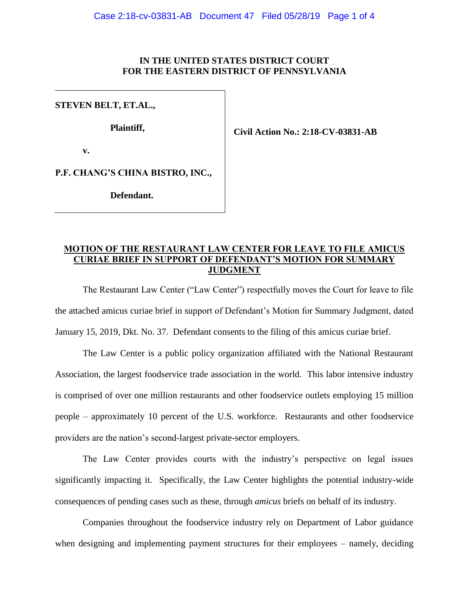### **IN THE UNITED STATES DISTRICT COURT FOR THE EASTERN DISTRICT OF PENNSYLVANIA**

## **STEVEN BELT, ET.AL.,**

**Plaintiff,**

**Civil Action No.: 2:18-CV-03831-AB**

**v.**

**P.F. CHANG'S CHINA BISTRO, INC.,**

**Defendant.**

# **MOTION OF THE RESTAURANT LAW CENTER FOR LEAVE TO FILE AMICUS CURIAE BRIEF IN SUPPORT OF DEFENDANT'S MOTION FOR SUMMARY JUDGMENT**

The Restaurant Law Center ("Law Center") respectfully moves the Court for leave to file the attached amicus curiae brief in support of Defendant's Motion for Summary Judgment, dated January 15, 2019, Dkt. No. 37. Defendant consents to the filing of this amicus curiae brief.

The Law Center is a public policy organization affiliated with the National Restaurant Association, the largest foodservice trade association in the world. This labor intensive industry is comprised of over one million restaurants and other foodservice outlets employing 15 million people – approximately 10 percent of the U.S. workforce. Restaurants and other foodservice providers are the nation's second-largest private-sector employers.

The Law Center provides courts with the industry's perspective on legal issues significantly impacting it. Specifically, the Law Center highlights the potential industry-wide consequences of pending cases such as these, through *amicus* briefs on behalf of its industry.

Companies throughout the foodservice industry rely on Department of Labor guidance when designing and implementing payment structures for their employees – namely, deciding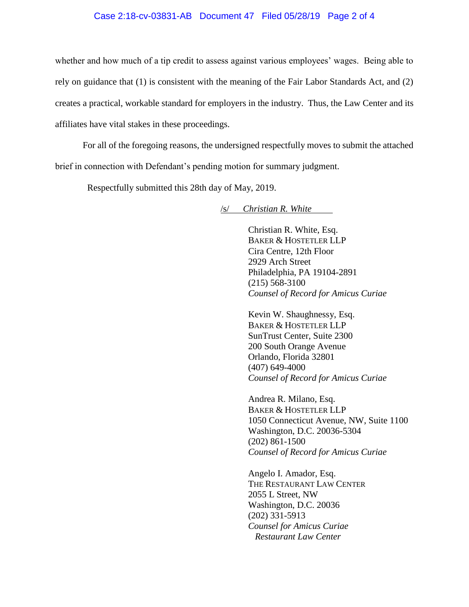#### Case 2:18-cv-03831-AB Document 47 Filed 05/28/19 Page 2 of 4

whether and how much of a tip credit to assess against various employees' wages. Being able to rely on guidance that (1) is consistent with the meaning of the Fair Labor Standards Act, and (2) creates a practical, workable standard for employers in the industry. Thus, the Law Center and its affiliates have vital stakes in these proceedings.

For all of the foregoing reasons, the undersigned respectfully moves to submit the attached brief in connection with Defendant's pending motion for summary judgment.

Respectfully submitted this 28th day of May, 2019.

/s/ *Christian R. White .* 

Christian R. White, Esq. BAKER & HOSTETLER LLP Cira Centre, 12th Floor 2929 Arch Street Philadelphia, PA 19104-2891 (215) 568-3100 *Counsel of Record for Amicus Curiae* 

Kevin W. Shaughnessy, Esq. BAKER & HOSTETLER LLP SunTrust Center, Suite 2300 200 South Orange Avenue Orlando, Florida 32801 (407) 649-4000 *Counsel of Record for Amicus Curiae* 

Andrea R. Milano, Esq. BAKER & HOSTETLER LLP 1050 Connecticut Avenue, NW, Suite 1100 Washington, D.C. 20036-5304 (202) 861-1500 *Counsel of Record for Amicus Curiae* 

Angelo I. Amador, Esq. THE RESTAURANT LAW CENTER 2055 L Street, NW Washington, D.C. 20036 (202) 331-5913 *Counsel for Amicus Curiae Restaurant Law Center*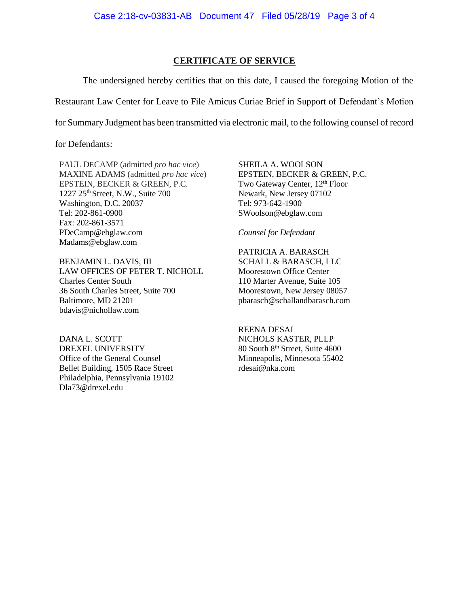### **CERTIFICATE OF SERVICE**

The undersigned hereby certifies that on this date, I caused the foregoing Motion of the Restaurant Law Center for Leave to File Amicus Curiae Brief in Support of Defendant's Motion for Summary Judgment has been transmitted via electronic mail, to the following counsel of record

for Defendants:

PAUL DECAMP (admitted *pro hac vice*) MAXINE ADAMS (admitted *pro hac vice*) EPSTEIN, BECKER & GREEN, P.C. 1227 25th Street, N.W., Suite 700 Washington, D.C. 20037 Tel: 202-861-0900 Fax: 202-861-3571 PDeCamp@ebglaw.com Madams@ebglaw.com

BENJAMIN L. DAVIS, III LAW OFFICES OF PETER T. NICHOLL Charles Center South 36 South Charles Street, Suite 700 Baltimore, MD 21201 bdavis@nichollaw.com

DANA L. SCOTT DREXEL UNIVERSITY Office of the General Counsel Bellet Building, 1505 Race Street Philadelphia, Pennsylvania 19102 Dla73@drexel.edu

SHEILA A. WOOLSON EPSTEIN, BECKER & GREEN, P.C. Two Gateway Center, 12<sup>th</sup> Floor Newark, New Jersey 07102 Tel: 973-642-1900 SWoolson@ebglaw.com

*Counsel for Defendant*

PATRICIA A. BARASCH SCHALL & BARASCH, LLC Moorestown Office Center 110 Marter Avenue, Suite 105 Moorestown, New Jersey 08057 pbarasch@schallandbarasch.com

REENA DESAI NICHOLS KASTER, PLLP 80 South 8<sup>th</sup> Street, Suite 4600 Minneapolis, Minnesota 55402 rdesai@nka.com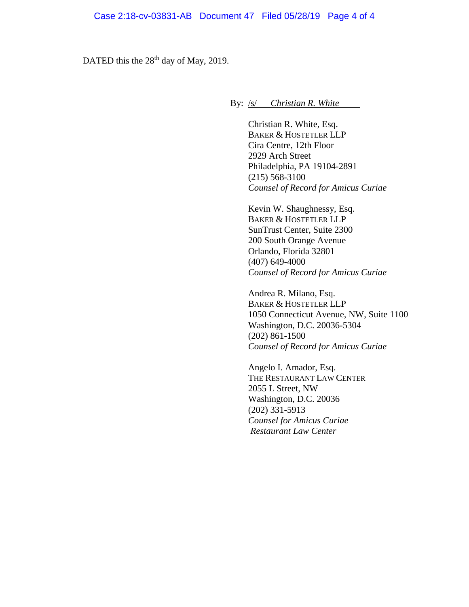DATED this the  $28<sup>th</sup>$  day of May, 2019.

By: <u>/s/ *Christian R. White* 2014</u>

Christian R. White, Esq. BAKER & HOSTETLER LLP Cira Centre, 12th Floor 2929 Arch Street Philadelphia, PA 19104-2891 (215) 568-3100 *Counsel of Record for Amicus Curiae* 

Kevin W. Shaughnessy, Esq. BAKER & HOSTETLER LLP SunTrust Center, Suite 2300 200 South Orange Avenue Orlando, Florida 32801 (407) 649-4000 *Counsel of Record for Amicus Curiae* 

Andrea R. Milano, Esq. BAKER & HOSTETLER LLP 1050 Connecticut Avenue, NW, Suite 1100 Washington, D.C. 20036-5304 (202) 861-1500 *Counsel of Record for Amicus Curiae* 

Angelo I. Amador, Esq. THE RESTAURANT LAW CENTER 2055 L Street, NW Washington, D.C. 20036 (202) 331-5913 *Counsel for Amicus Curiae Restaurant Law Center*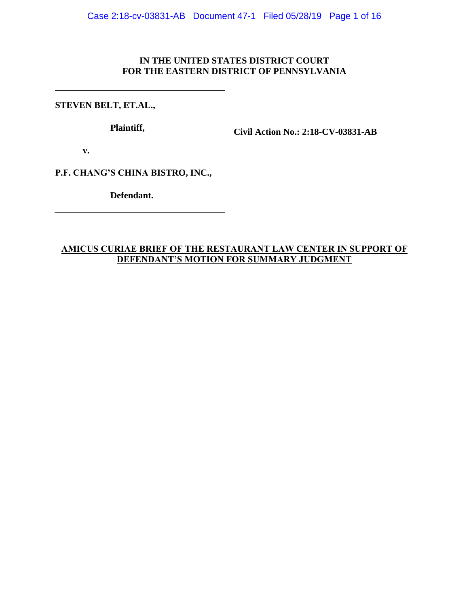# **IN THE UNITED STATES DISTRICT COURT FOR THE EASTERN DISTRICT OF PENNSYLVANIA**

# **STEVEN BELT, ET.AL.,**

**Plaintiff,**

**Civil Action No.: 2:18-CV-03831-AB**

**v.**

**P.F. CHANG'S CHINA BISTRO, INC.,**

**Defendant.**

# **AMICUS CURIAE BRIEF OF THE RESTAURANT LAW CENTER IN SUPPORT OF DEFENDANT'S MOTION FOR SUMMARY JUDGMENT**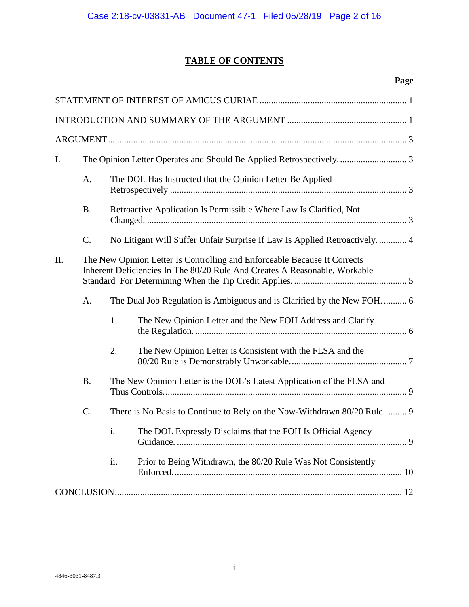# **TABLE OF CONTENTS**

# **Page**

| I.  |                                                                                                                                                         |                                                                             |                                                               |  |
|-----|---------------------------------------------------------------------------------------------------------------------------------------------------------|-----------------------------------------------------------------------------|---------------------------------------------------------------|--|
|     | A.                                                                                                                                                      | The DOL Has Instructed that the Opinion Letter Be Applied                   |                                                               |  |
|     | <b>B.</b>                                                                                                                                               | Retroactive Application Is Permissible Where Law Is Clarified, Not          |                                                               |  |
|     | $\mathcal{C}$ .                                                                                                                                         | No Litigant Will Suffer Unfair Surprise If Law Is Applied Retroactively.  4 |                                                               |  |
| II. | The New Opinion Letter Is Controlling and Enforceable Because It Corrects<br>Inherent Deficiencies In The 80/20 Rule And Creates A Reasonable, Workable |                                                                             |                                                               |  |
|     | A.                                                                                                                                                      | The Dual Job Regulation is Ambiguous and is Clarified by the New FOH 6      |                                                               |  |
|     |                                                                                                                                                         | 1.                                                                          | The New Opinion Letter and the New FOH Address and Clarify    |  |
|     |                                                                                                                                                         | 2.                                                                          | The New Opinion Letter is Consistent with the FLSA and the    |  |
|     | <b>B.</b>                                                                                                                                               | The New Opinion Letter is the DOL's Latest Application of the FLSA and      |                                                               |  |
|     | C.                                                                                                                                                      | There is No Basis to Continue to Rely on the Now-Withdrawn 80/20 Rule 9     |                                                               |  |
|     |                                                                                                                                                         | i.                                                                          | The DOL Expressly Disclaims that the FOH Is Official Agency   |  |
|     |                                                                                                                                                         | ii.                                                                         | Prior to Being Withdrawn, the 80/20 Rule Was Not Consistently |  |
|     |                                                                                                                                                         |                                                                             |                                                               |  |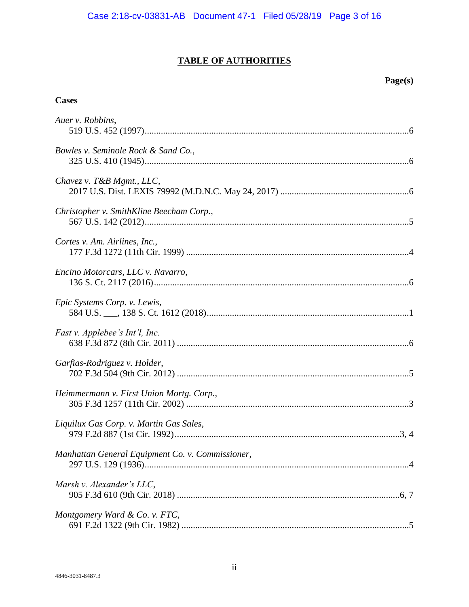# **TABLE OF AUTHORITIES**

# **Page(s)**

# **Cases**

| Auer v. Robbins,                                 |
|--------------------------------------------------|
| Bowles v. Seminole Rock & Sand Co.,              |
| Chavez v. T&B Mgmt., LLC,                        |
| Christopher v. SmithKline Beecham Corp.,         |
| Cortes v. Am. Airlines, Inc.,                    |
| Encino Motorcars, LLC v. Navarro,                |
| Epic Systems Corp. v. Lewis,                     |
| Fast v. Applebee's Int'l, Inc.                   |
| Garfias-Rodriguez v. Holder,                     |
| Heimmermann v. First Union Mortg. Corp.,         |
| Liquilux Gas Corp. v. Martin Gas Sales,          |
| Manhattan General Equipment Co. v. Commissioner, |
| Marsh v. Alexander's LLC,                        |
| Montgomery Ward & Co. v. FTC,                    |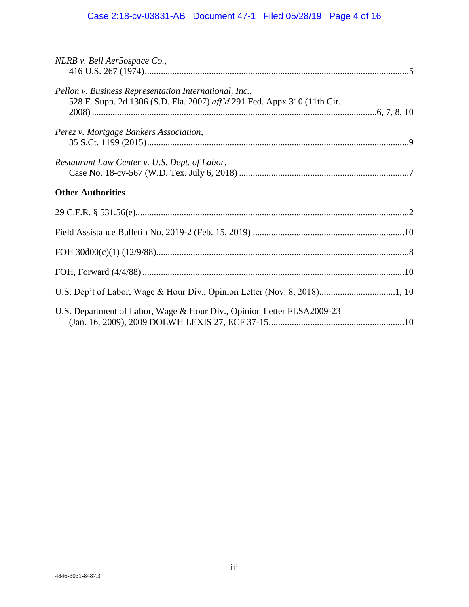| NLRB v. Bell Aer5ospace Co.,                                                                                                       |  |
|------------------------------------------------------------------------------------------------------------------------------------|--|
| Pellon v. Business Representation International, Inc.,<br>528 F. Supp. 2d 1306 (S.D. Fla. 2007) aff'd 291 Fed. Appx 310 (11th Cir. |  |
| Perez v. Mortgage Bankers Association,                                                                                             |  |
| Restaurant Law Center v. U.S. Dept. of Labor,                                                                                      |  |
| <b>Other Authorities</b>                                                                                                           |  |
|                                                                                                                                    |  |
|                                                                                                                                    |  |
|                                                                                                                                    |  |
|                                                                                                                                    |  |
|                                                                                                                                    |  |
| U.S. Department of Labor, Wage & Hour Div., Opinion Letter FLSA2009-23                                                             |  |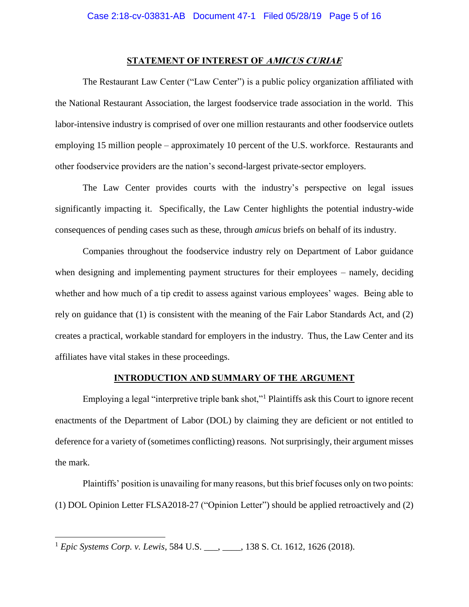### **STATEMENT OF INTEREST OF AMICUS CURIAE**

<span id="page-8-0"></span>The Restaurant Law Center ("Law Center") is a public policy organization affiliated with the National Restaurant Association, the largest foodservice trade association in the world. This labor-intensive industry is comprised of over one million restaurants and other foodservice outlets employing 15 million people – approximately 10 percent of the U.S. workforce. Restaurants and other foodservice providers are the nation's second-largest private-sector employers.

The Law Center provides courts with the industry's perspective on legal issues significantly impacting it. Specifically, the Law Center highlights the potential industry-wide consequences of pending cases such as these, through *amicus* briefs on behalf of its industry.

Companies throughout the foodservice industry rely on Department of Labor guidance when designing and implementing payment structures for their employees – namely, deciding whether and how much of a tip credit to assess against various employees' wages. Being able to rely on guidance that (1) is consistent with the meaning of the Fair Labor Standards Act, and (2) creates a practical, workable standard for employers in the industry. Thus, the Law Center and its affiliates have vital stakes in these proceedings.

#### **INTRODUCTION AND SUMMARY OF THE ARGUMENT**

<span id="page-8-1"></span>Employing a legal "interpretive triple bank shot,"<sup>1</sup> Plaintiffs ask this Court to ignore recent enactments of the Department of Labor (DOL) by claiming they are deficient or not entitled to deference for a variety of (sometimes conflicting) reasons. Not surprisingly, their argument misses the mark.

<span id="page-8-3"></span>Plaintiffs' position is unavailing for many reasons, but this brief focuses only on two points: (1) DOL Opinion Letter FLSA2018-27 ("Opinion Letter") should be applied retroactively and (2)

 $\overline{a}$ 

<span id="page-8-2"></span><sup>1</sup> *Epic Systems Corp. v. Lewis*, 584 U.S. \_\_\_, \_\_\_\_, 138 S. Ct. 1612, 1626 (2018).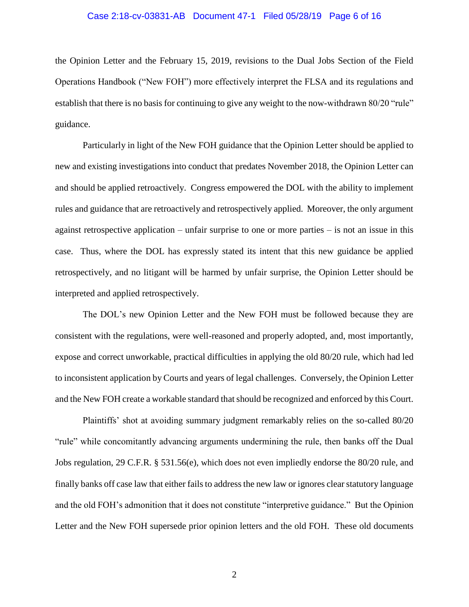#### Case 2:18-cv-03831-AB Document 47-1 Filed 05/28/19 Page 6 of 16

the Opinion Letter and the February 15, 2019, revisions to the Dual Jobs Section of the Field Operations Handbook ("New FOH") more effectively interpret the FLSA and its regulations and establish that there is no basis for continuing to give any weight to the now-withdrawn 80/20 "rule" guidance.

Particularly in light of the New FOH guidance that the Opinion Letter should be applied to new and existing investigations into conduct that predates November 2018, the Opinion Letter can and should be applied retroactively. Congress empowered the DOL with the ability to implement rules and guidance that are retroactively and retrospectively applied. Moreover, the only argument against retrospective application – unfair surprise to one or more parties – is not an issue in this case. Thus, where the DOL has expressly stated its intent that this new guidance be applied retrospectively, and no litigant will be harmed by unfair surprise, the Opinion Letter should be interpreted and applied retrospectively.

The DOL's new Opinion Letter and the New FOH must be followed because they are consistent with the regulations, were well-reasoned and properly adopted, and, most importantly, expose and correct unworkable, practical difficulties in applying the old 80/20 rule, which had led to inconsistent application by Courts and years of legal challenges. Conversely, the Opinion Letter and the New FOH create a workable standard that should be recognized and enforced by this Court.

<span id="page-9-0"></span>Plaintiffs' shot at avoiding summary judgment remarkably relies on the so-called 80/20 "rule" while concomitantly advancing arguments undermining the rule, then banks off the Dual Jobs regulation, 29 C.F.R. § 531.56(e), which does not even impliedly endorse the 80/20 rule, and finally banks off case law that either fails to address the new law or ignores clear statutory language and the old FOH's admonition that it does not constitute "interpretive guidance." But the Opinion Letter and the New FOH supersede prior opinion letters and the old FOH. These old documents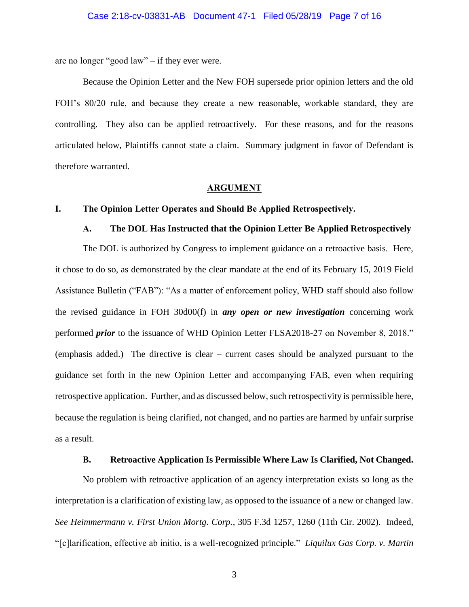are no longer "good law" – if they ever were.

Because the Opinion Letter and the New FOH supersede prior opinion letters and the old FOH's 80/20 rule, and because they create a new reasonable, workable standard, they are controlling. They also can be applied retroactively. For these reasons, and for the reasons articulated below, Plaintiffs cannot state a claim. Summary judgment in favor of Defendant is therefore warranted.

#### **ARGUMENT**

### <span id="page-10-2"></span><span id="page-10-1"></span><span id="page-10-0"></span>**I. The Opinion Letter Operates and Should Be Applied Retrospectively.**

#### **A. The DOL Has Instructed that the Opinion Letter Be Applied Retrospectively**

The DOL is authorized by Congress to implement guidance on a retroactive basis. Here, it chose to do so, as demonstrated by the clear mandate at the end of its February 15, 2019 Field Assistance Bulletin ("FAB"): "As a matter of enforcement policy, WHD staff should also follow the revised guidance in FOH 30d00(f) in *any open or new investigation* concerning work performed *prior* to the issuance of WHD Opinion Letter FLSA2018-27 on November 8, 2018." (emphasis added.) The directive is clear – current cases should be analyzed pursuant to the guidance set forth in the new Opinion Letter and accompanying FAB, even when requiring retrospective application. Further, and as discussed below, such retrospectivity is permissible here, because the regulation is being clarified, not changed, and no parties are harmed by unfair surprise as a result.

### <span id="page-10-5"></span>**B. Retroactive Application Is Permissible Where Law Is Clarified, Not Changed.**

<span id="page-10-4"></span><span id="page-10-3"></span>No problem with retroactive application of an agency interpretation exists so long as the interpretation is a clarification of existing law, as opposed to the issuance of a new or changed law. *See Heimmermann v. First Union Mortg. Corp.*, 305 F.3d 1257, 1260 (11th Cir. 2002). Indeed, "[c]larification, effective ab initio, is a well-recognized principle." *Liquilux Gas Corp. v. Martin*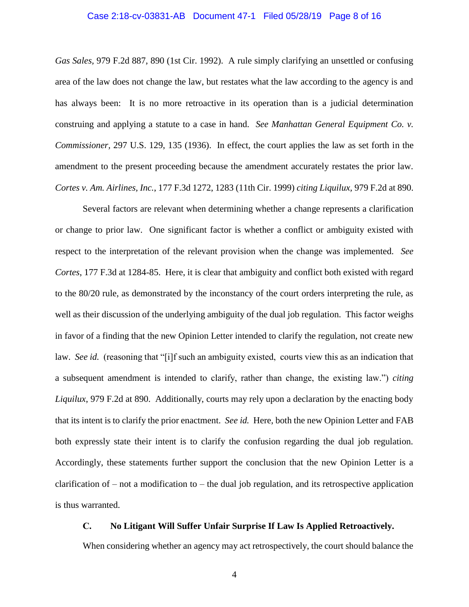#### <span id="page-11-3"></span>Case 2:18-cv-03831-AB Document 47-1 Filed 05/28/19 Page 8 of 16

*Gas Sales,* 979 F.2d 887, 890 (1st Cir. 1992). A rule simply clarifying an unsettled or confusing area of the law does not change the law, but restates what the law according to the agency is and has always been: It is no more retroactive in its operation than is a judicial determination construing and applying a statute to a case in hand. *See Manhattan General Equipment Co. v. Commissioner,* 297 U.S. 129, 135 (1936). In effect, the court applies the law as set forth in the amendment to the present proceeding because the amendment accurately restates the prior law. *Cortes v. Am. Airlines, Inc.*, 177 F.3d 1272, 1283 (11th Cir. 1999) *citing Liquilux,* 979 F.2d at 890.

<span id="page-11-2"></span><span id="page-11-1"></span>Several factors are relevant when determining whether a change represents a clarification or change to prior law. One significant factor is whether a conflict or ambiguity existed with respect to the interpretation of the relevant provision when the change was implemented. *See Cortes*, 177 F.3d at 1284-85. Here, it is clear that ambiguity and conflict both existed with regard to the 80/20 rule, as demonstrated by the inconstancy of the court orders interpreting the rule, as well as their discussion of the underlying ambiguity of the dual job regulation*.* This factor weighs in favor of a finding that the new Opinion Letter intended to clarify the regulation, not create new law. *See id.* (reasoning that "[i]f such an ambiguity existed, courts view this as an indication that a subsequent amendment is intended to clarify, rather than change, the existing law.") *citing Liquilux*, 979 F.2d at 890. Additionally, courts may rely upon a declaration by the enacting body that its intent is to clarify the prior enactment. *See id.* Here, both the new Opinion Letter and FAB both expressly state their intent is to clarify the confusion regarding the dual job regulation. Accordingly, these statements further support the conclusion that the new Opinion Letter is a clarification of – not a modification to – the dual job regulation, and its retrospective application is thus warranted.

# <span id="page-11-0"></span>**C. No Litigant Will Suffer Unfair Surprise If Law Is Applied Retroactively.**

When considering whether an agency may act retrospectively, the court should balance the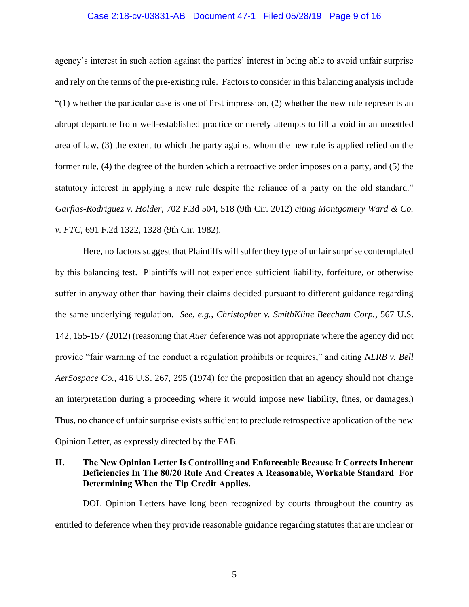#### Case 2:18-cv-03831-AB Document 47-1 Filed 05/28/19 Page 9 of 16

agency's interest in such action against the parties' interest in being able to avoid unfair surprise and rely on the terms of the pre-existing rule. Factors to consider in this balancing analysis include  $(1)$  whether the particular case is one of first impression, (2) whether the new rule represents an abrupt departure from well-established practice or merely attempts to fill a void in an unsettled area of law, (3) the extent to which the party against whom the new rule is applied relied on the former rule, (4) the degree of the burden which a retroactive order imposes on a party, and (5) the statutory interest in applying a new rule despite the reliance of a party on the old standard." *Garfias-Rodriguez v. Holder*, 702 F.3d 504, 518 (9th Cir. 2012) *citing Montgomery Ward & Co. v. FTC*, 691 F.2d 1322, 1328 (9th Cir. 1982).

<span id="page-12-4"></span><span id="page-12-3"></span><span id="page-12-2"></span><span id="page-12-1"></span>Here, no factors suggest that Plaintiffs will suffer they type of unfair surprise contemplated by this balancing test. Plaintiffs will not experience sufficient liability, forfeiture, or otherwise suffer in anyway other than having their claims decided pursuant to different guidance regarding the same underlying regulation. *See, e.g., Christopher v. SmithKline Beecham Corp.*, 567 U.S. 142, 155-157 (2012) (reasoning that *Auer* deference was not appropriate where the agency did not provide "fair warning of the conduct a regulation prohibits or requires," and citing *NLRB v. Bell Aer5ospace Co.,* 416 U.S. 267, 295 (1974) for the proposition that an agency should not change an interpretation during a proceeding where it would impose new liability, fines, or damages.) Thus, no chance of unfair surprise exists sufficient to preclude retrospective application of the new Opinion Letter, as expressly directed by the FAB.

# <span id="page-12-0"></span>**II. The New Opinion Letter Is Controlling and Enforceable Because It Corrects Inherent Deficiencies In The 80/20 Rule And Creates A Reasonable, Workable Standard For Determining When the Tip Credit Applies.**

DOL Opinion Letters have long been recognized by courts throughout the country as entitled to deference when they provide reasonable guidance regarding statutes that are unclear or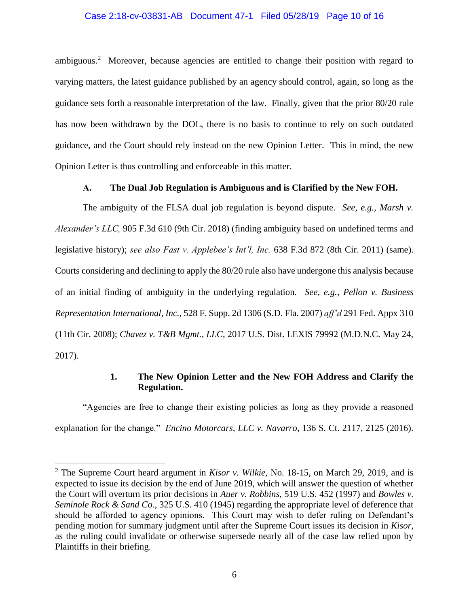### Case 2:18-cv-03831-AB Document 47-1 Filed 05/28/19 Page 10 of 16

ambiguous.<sup>2</sup> Moreover, because agencies are entitled to change their position with regard to varying matters, the latest guidance published by an agency should control, again, so long as the guidance sets forth a reasonable interpretation of the law. Finally, given that the prior 80/20 rule has now been withdrawn by the DOL, there is no basis to continue to rely on such outdated guidance, and the Court should rely instead on the new Opinion Letter. This in mind, the new Opinion Letter is thus controlling and enforceable in this matter.

## <span id="page-13-7"></span><span id="page-13-6"></span>**A. The Dual Job Regulation is Ambiguous and is Clarified by the New FOH.**

<span id="page-13-0"></span>The ambiguity of the FLSA dual job regulation is beyond dispute. *See, e.g., Marsh v. Alexander's LLC,* 905 F.3d 610 (9th Cir. 2018) (finding ambiguity based on undefined terms and legislative history); *see also Fast v. Applebee's Int'l, Inc.* 638 F.3d 872 (8th Cir. 2011) (same). Courts considering and declining to apply the 80/20 rule also have undergone this analysis because of an initial finding of ambiguity in the underlying regulation. *See, e.g., Pellon v. Business Representation International, Inc.*, 528 F. Supp. 2d 1306 (S.D. Fla. 2007) *aff'd* 291 Fed. Appx 310 (11th Cir. 2008); *Chavez v. T&B Mgmt., LLC*, 2017 U.S. Dist. LEXIS 79992 (M.D.N.C. May 24, 2017).

# <span id="page-13-8"></span><span id="page-13-5"></span><span id="page-13-4"></span><span id="page-13-3"></span><span id="page-13-2"></span>**1. The New Opinion Letter and the New FOH Address and Clarify the Regulation.**

<span id="page-13-1"></span>"Agencies are free to change their existing policies as long as they provide a reasoned explanation for the change." *Encino Motorcars, LLC v. Navarro*, 136 S. Ct. 2117, 2125 (2016).

 $\overline{a}$ 

<sup>2</sup> The Supreme Court heard argument in *Kisor v. Wilkie,* No. 18-15, on March 29, 2019, and is expected to issue its decision by the end of June 2019, which will answer the question of whether the Court will overturn its prior decisions in *Auer v. Robbins,* 519 U.S. 452 (1997) and *Bowles v. Seminole Rock & Sand Co.*, 325 U.S. 410 (1945) regarding the appropriate level of deference that should be afforded to agency opinions. This Court may wish to defer ruling on Defendant's pending motion for summary judgment until after the Supreme Court issues its decision in *Kisor*, as the ruling could invalidate or otherwise supersede nearly all of the case law relied upon by Plaintiffs in their briefing.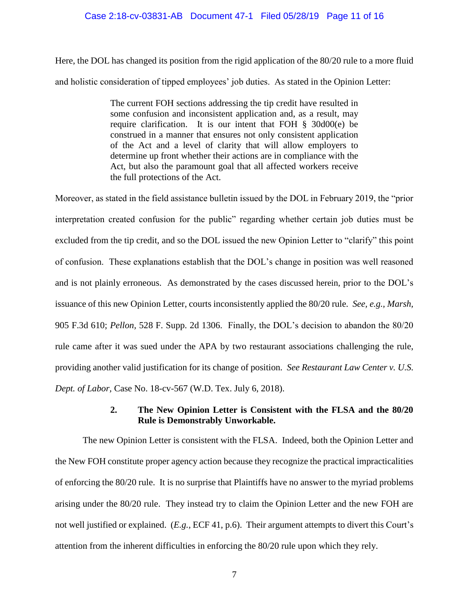### Case 2:18-cv-03831-AB Document 47-1 Filed 05/28/19 Page 11 of 16

Here, the DOL has changed its position from the rigid application of the 80/20 rule to a more fluid and holistic consideration of tipped employees' job duties. As stated in the Opinion Letter:

> The current FOH sections addressing the tip credit have resulted in some confusion and inconsistent application and, as a result, may require clarification. It is our intent that FOH § 30d00(e) be construed in a manner that ensures not only consistent application of the Act and a level of clarity that will allow employers to determine up front whether their actions are in compliance with the Act, but also the paramount goal that all affected workers receive the full protections of the Act.

Moreover, as stated in the field assistance bulletin issued by the DOL in February 2019, the "prior interpretation created confusion for the public" regarding whether certain job duties must be excluded from the tip credit, and so the DOL issued the new Opinion Letter to "clarify" this point of confusion. These explanations establish that the DOL's change in position was well reasoned and is not plainly erroneous. As demonstrated by the cases discussed herein, prior to the DOL's issuance of this new Opinion Letter, courts inconsistently applied the 80/20 rule. *See, e.g., Marsh,*  905 F.3d 610; *Pellon,* 528 F. Supp. 2d 1306. Finally, the DOL's decision to abandon the 80/20 rule came after it was sued under the APA by two restaurant associations challenging the rule, providing another valid justification for its change of position. *See Restaurant Law Center v. U.S. Dept. of Labor,* Case No. 18-cv-567 (W.D. Tex. July 6, 2018).

# <span id="page-14-3"></span><span id="page-14-2"></span><span id="page-14-1"></span>**2. The New Opinion Letter is Consistent with the FLSA and the 80/20 Rule is Demonstrably Unworkable.**

<span id="page-14-0"></span>The new Opinion Letter is consistent with the FLSA. Indeed, both the Opinion Letter and the New FOH constitute proper agency action because they recognize the practical impracticalities of enforcing the 80/20 rule.It is no surprise that Plaintiffs have no answer to the myriad problems arising under the 80/20 rule. They instead try to claim the Opinion Letter and the new FOH are not well justified or explained. (*E.g.,* ECF 41, p.6). Their argument attempts to divert this Court's attention from the inherent difficulties in enforcing the 80/20 rule upon which they rely.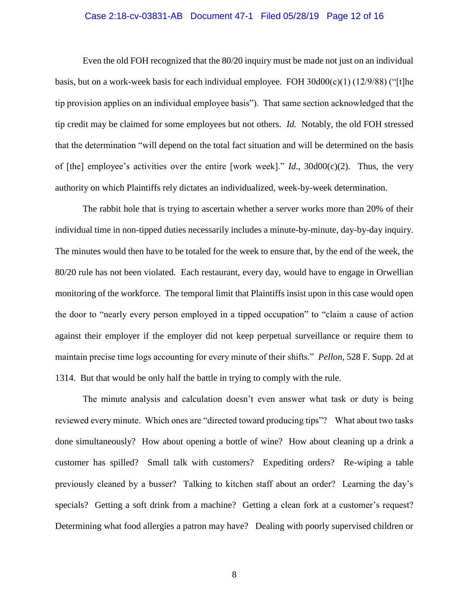#### <span id="page-15-1"></span>Case 2:18-cv-03831-AB Document 47-1 Filed 05/28/19 Page 12 of 16

Even the old FOH recognized that the 80/20 inquiry must be made not just on an individual basis, but on a work-week basis for each individual employee. FOH 30d00(c)(1) (12/9/88) ("[t]he tip provision applies on an individual employee basis"). That same section acknowledged that the tip credit may be claimed for some employees but not others. *Id.* Notably, the old FOH stressed that the determination "will depend on the total fact situation and will be determined on the basis of [the] employee's activities over the entire [work week]." *Id*., 30d00(c)(2). Thus, the very authority on which Plaintiffs rely dictates an individualized, week-by-week determination.

The rabbit hole that is trying to ascertain whether a server works more than 20% of their individual time in non-tipped duties necessarily includes a minute-by-minute, day-by-day inquiry. The minutes would then have to be totaled for the week to ensure that, by the end of the week, the 80/20 rule has not been violated. Each restaurant, every day, would have to engage in Orwellian monitoring of the workforce. The temporal limit that Plaintiffs insist upon in this case would open the door to "nearly every person employed in a tipped occupation" to "claim a cause of action against their employer if the employer did not keep perpetual surveillance or require them to maintain precise time logs accounting for every minute of their shifts." *Pellon*, 528 F. Supp. 2d at 1314. But that would be only half the battle in trying to comply with the rule.

<span id="page-15-0"></span>The minute analysis and calculation doesn't even answer what task or duty is being reviewed every minute. Which ones are "directed toward producing tips"? What about two tasks done simultaneously? How about opening a bottle of wine? How about cleaning up a drink a customer has spilled? Small talk with customers? Expediting orders? Re-wiping a table previously cleaned by a busser? Talking to kitchen staff about an order? Learning the day's specials? Getting a soft drink from a machine? Getting a clean fork at a customer's request? Determining what food allergies a patron may have? Dealing with poorly supervised children or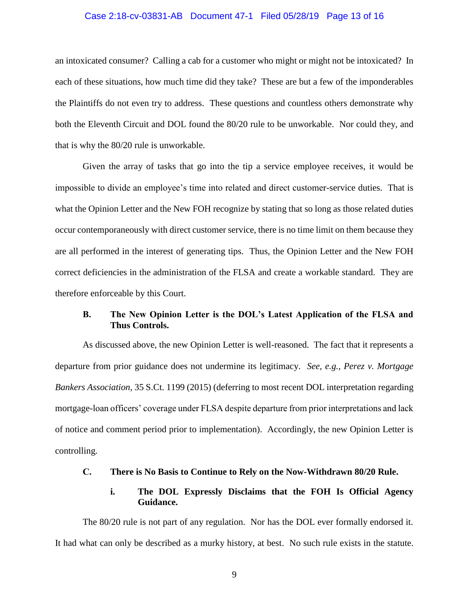#### Case 2:18-cv-03831-AB Document 47-1 Filed 05/28/19 Page 13 of 16

an intoxicated consumer? Calling a cab for a customer who might or might not be intoxicated? In each of these situations, how much time did they take? These are but a few of the imponderables the Plaintiffs do not even try to address. These questions and countless others demonstrate why both the Eleventh Circuit and DOL found the 80/20 rule to be unworkable. Nor could they, and that is why the 80/20 rule is unworkable.

Given the array of tasks that go into the tip a service employee receives, it would be impossible to divide an employee's time into related and direct customer-service duties. That is what the Opinion Letter and the New FOH recognize by stating that so long as those related duties occur contemporaneously with direct customer service, there is no time limit on them because they are all performed in the interest of generating tips. Thus, the Opinion Letter and the New FOH correct deficiencies in the administration of the FLSA and create a workable standard. They are therefore enforceable by this Court.

## <span id="page-16-3"></span><span id="page-16-0"></span>**B. The New Opinion Letter is the DOL's Latest Application of the FLSA and Thus Controls.**

As discussed above, the new Opinion Letter is well-reasoned. The fact that it represents a departure from prior guidance does not undermine its legitimacy. *See, e.g., Perez v. Mortgage Bankers Association,* 35 S.Ct. 1199 (2015) (deferring to most recent DOL interpretation regarding mortgage-loan officers' coverage under FLSA despite departure from prior interpretations and lack of notice and comment period prior to implementation). Accordingly, the new Opinion Letter is controlling.

### <span id="page-16-1"></span>**C. There is No Basis to Continue to Rely on the Now-Withdrawn 80/20 Rule.**

## **i. The DOL Expressly Disclaims that the FOH Is Official Agency Guidance.**

<span id="page-16-2"></span>The 80/20 rule is not part of any regulation. Nor has the DOL ever formally endorsed it. It had what can only be described as a murky history, at best. No such rule exists in the statute.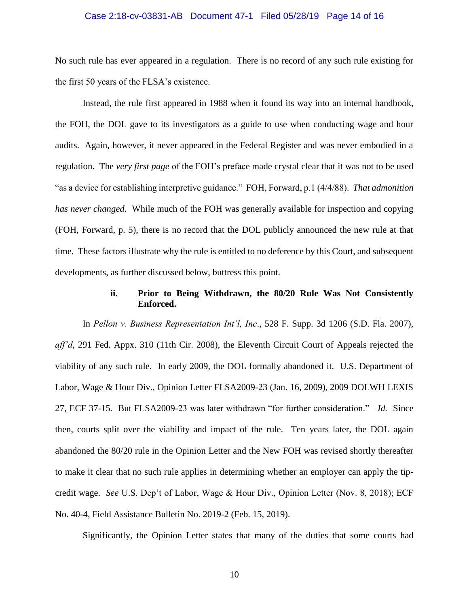#### Case 2:18-cv-03831-AB Document 47-1 Filed 05/28/19 Page 14 of 16

No such rule has ever appeared in a regulation. There is no record of any such rule existing for the first 50 years of the FLSA's existence.

Instead, the rule first appeared in 1988 when it found its way into an internal handbook, the FOH, the DOL gave to its investigators as a guide to use when conducting wage and hour audits. Again, however, it never appeared in the Federal Register and was never embodied in a regulation. The *very first page* of the FOH's preface made crystal clear that it was not to be used "as a device for establishing interpretive guidance." FOH, Forward, p.1 (4/4/88). *That admonition has never changed*. While much of the FOH was generally available for inspection and copying (FOH, Forward, p. 5), there is no record that the DOL publicly announced the new rule at that time. These factors illustrate why the rule is entitled to no deference by this Court, and subsequent developments, as further discussed below, buttress this point.

# <span id="page-17-5"></span><span id="page-17-3"></span><span id="page-17-1"></span>**ii. Prior to Being Withdrawn, the 80/20 Rule Was Not Consistently Enforced.**

<span id="page-17-0"></span>In *Pellon v. Business Representation Int'l, Inc*., 528 F. Supp. 3d 1206 (S.D. Fla. 2007), *aff'd*, 291 Fed. Appx. 310 (11th Cir. 2008), the Eleventh Circuit Court of Appeals rejected the viability of any such rule. In early 2009, the DOL formally abandoned it. U.S. Department of Labor, Wage & Hour Div., Opinion Letter FLSA2009-23 (Jan. 16, 2009), 2009 DOLWH LEXIS 27, ECF 37-15. But FLSA2009-23 was later withdrawn "for further consideration." *Id.* Since then, courts split over the viability and impact of the rule. Ten years later, the DOL again abandoned the 80/20 rule in the Opinion Letter and the New FOH was revised shortly thereafter to make it clear that no such rule applies in determining whether an employer can apply the tipcredit wage. *See* U.S. Dep't of Labor, Wage & Hour Div., Opinion Letter (Nov. 8, 2018); ECF No. 40-4, Field Assistance Bulletin No. 2019-2 (Feb. 15, 2019).

<span id="page-17-4"></span><span id="page-17-2"></span>Significantly, the Opinion Letter states that many of the duties that some courts had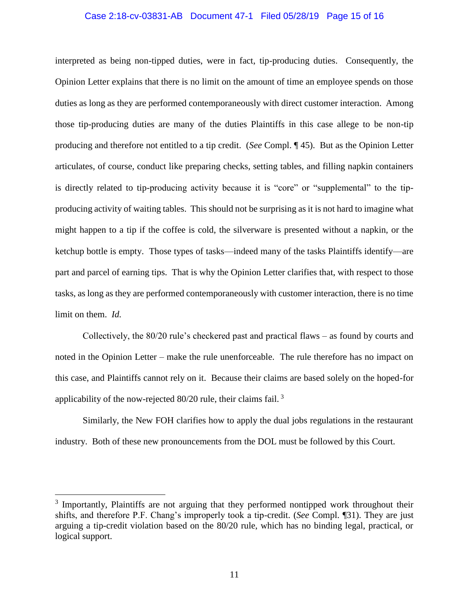#### Case 2:18-cv-03831-AB Document 47-1 Filed 05/28/19 Page 15 of 16

interpreted as being non-tipped duties, were in fact, tip-producing duties. Consequently, the Opinion Letter explains that there is no limit on the amount of time an employee spends on those duties as long as they are performed contemporaneously with direct customer interaction. Among those tip-producing duties are many of the duties Plaintiffs in this case allege to be non-tip producing and therefore not entitled to a tip credit. (*See* Compl. ¶ 45). But as the Opinion Letter articulates, of course, conduct like preparing checks, setting tables, and filling napkin containers is directly related to tip-producing activity because it is "core" or "supplemental" to the tipproducing activity of waiting tables. This should not be surprising as it is not hard to imagine what might happen to a tip if the coffee is cold, the silverware is presented without a napkin, or the ketchup bottle is empty. Those types of tasks—indeed many of the tasks Plaintiffs identify—are part and parcel of earning tips. That is why the Opinion Letter clarifies that, with respect to those tasks, as long as they are performed contemporaneously with customer interaction, there is no time limit on them. *Id.*

Collectively, the 80/20 rule's checkered past and practical flaws – as found by courts and noted in the Opinion Letter – make the rule unenforceable. The rule therefore has no impact on this case, and Plaintiffs cannot rely on it. Because their claims are based solely on the hoped-for applicability of the now-rejected  $80/20$  rule, their claims fail.<sup>3</sup>

Similarly, the New FOH clarifies how to apply the dual jobs regulations in the restaurant industry. Both of these new pronouncements from the DOL must be followed by this Court.

 $\overline{a}$ 

<sup>&</sup>lt;sup>3</sup> Importantly, Plaintiffs are not arguing that they performed nontipped work throughout their shifts, and therefore P.F. Chang's improperly took a tip-credit. (*See* Compl. ¶31). They are just arguing a tip-credit violation based on the 80/20 rule, which has no binding legal, practical, or logical support.